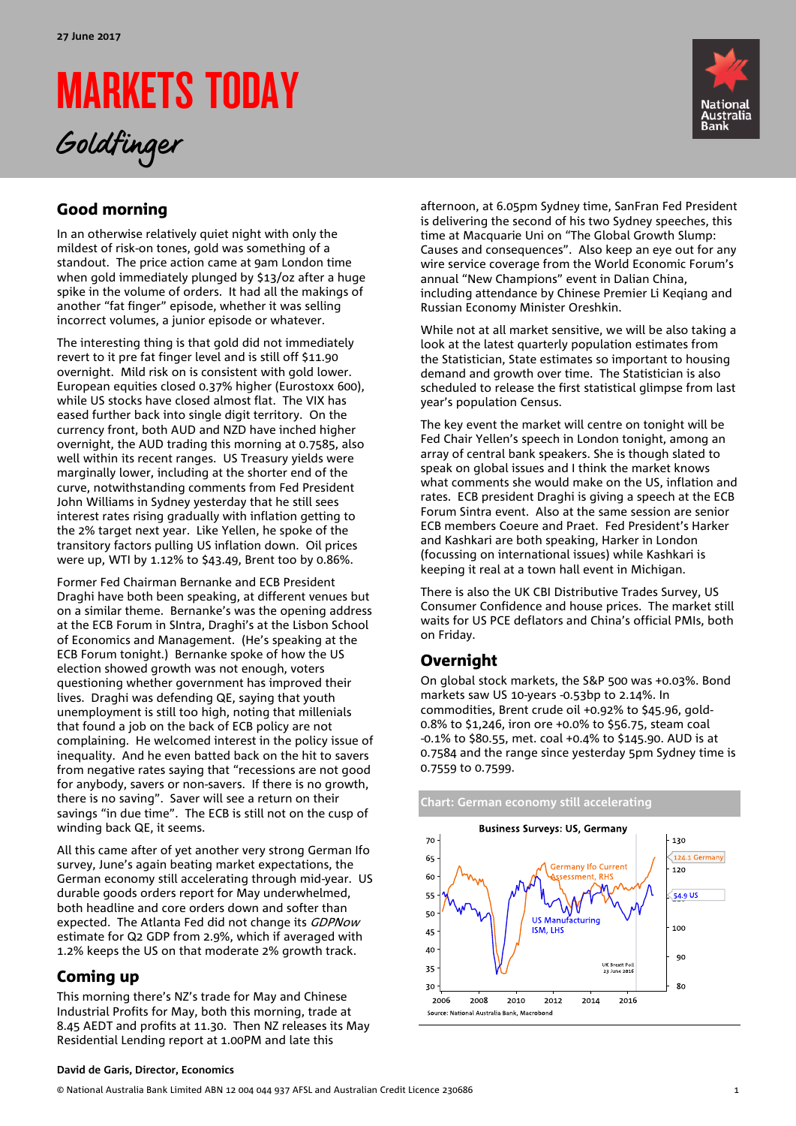# MARKETS TODAY

Goldfinger



# Good morning

In an otherwise relatively quiet night with only the mildest of risk-on tones, gold was something of a standout. The price action came at 9am London time when gold immediately plunged by \$13/oz after a huge spike in the volume of orders. It had all the makings of another "fat finger" episode, whether it was selling incorrect volumes, a junior episode or whatever.

The interesting thing is that gold did not immediately revert to it pre fat finger level and is still off \$11.90 overnight. Mild risk on is consistent with gold lower. European equities closed 0.37% higher (Eurostoxx 600), while US stocks have closed almost flat. The VIX has eased further back into single digit territory. On the currency front, both AUD and NZD have inched higher overnight, the AUD trading this morning at 0.7585, also well within its recent ranges. US Treasury yields were marginally lower, including at the shorter end of the curve, notwithstanding comments from Fed President John Williams in Sydney yesterday that he still sees interest rates rising gradually with inflation getting to the 2% target next year. Like Yellen, he spoke of the transitory factors pulling US inflation down. Oil prices were up, WTI by 1.12% to \$43.49, Brent too by 0.86%.

Former Fed Chairman Bernanke and ECB President Draghi have both been speaking, at different venues but on a similar theme. Bernanke's was the opening address at the ECB Forum in SIntra, Draghi's at the Lisbon School of Economics and Management. (He's speaking at the ECB Forum tonight.) Bernanke spoke of how the US election showed growth was not enough, voters questioning whether government has improved their lives. Draghi was defending QE, saying that youth unemployment is still too high, noting that millenials that found a job on the back of ECB policy are not complaining. He welcomed interest in the policy issue of inequality. And he even batted back on the hit to savers from negative rates saying that "recessions are not good for anybody, savers or non-savers. If there is no growth, there is no saving". Saver will see a return on their savings "in due time". The ECB is still not on the cusp of winding back QE, it seems.

All this came after of yet another very strong German Ifo survey, June's again beating market expectations, the German economy still accelerating through mid-year. US durable goods orders report for May underwhelmed, both headline and core orders down and softer than expected. The Atlanta Fed did not change its GDPNow estimate for Q2 GDP from 2.9%, which if averaged with 1.2% keeps the US on that moderate 2% growth track.

## Coming up

This morning there's NZ's trade for May and Chinese Industrial Profits for May, both this morning, trade at 8.45 AEDT and profits at 11.30. Then NZ releases its May Residential Lending report at 1.00PM and late this

afternoon, at 6.05pm Sydney time, SanFran Fed President is delivering the second of his two Sydney speeches, this time at Macquarie Uni on "The Global Growth Slump: Causes and consequences". Also keep an eye out for any wire service coverage from the World Economic Forum's annual "New Champions" event in Dalian China, including attendance by Chinese Premier Li Keqiang and Russian Economy Minister Oreshkin.

While not at all market sensitive, we will be also taking a look at the latest quarterly population estimates from the Statistician, State estimates so important to housing demand and growth over time. The Statistician is also scheduled to release the first statistical glimpse from last year's population Census.

The key event the market will centre on tonight will be Fed Chair Yellen's speech in London tonight, among an array of central bank speakers. She is though slated to speak on global issues and I think the market knows what comments she would make on the US, inflation and rates. ECB president Draghi is giving a speech at the ECB Forum Sintra event. Also at the same session are senior ECB members Coeure and Praet. Fed President's Harker and Kashkari are both speaking, Harker in London (focussing on international issues) while Kashkari is keeping it real at a town hall event in Michigan.

There is also the UK CBI Distributive Trades Survey, US Consumer Confidence and house prices. The market still waits for US PCE deflators and China's official PMIs, both on Friday.

## Overnight

On global stock markets, the S&P 500 was +0.03%. Bond markets saw US 10-years -0.53bp to 2.14%. In commodities, Brent crude oil +0.92% to \$45.96, gold-0.8% to \$1,246, iron ore +0.0% to \$56.75, steam coal -0.1% to \$80.55, met. coal +0.4% to \$145.90. AUD is at 0.7584 and the range since yesterday 5pm Sydney time is 0.7559 to 0.7599.



### **David de Garis, Director, Economics**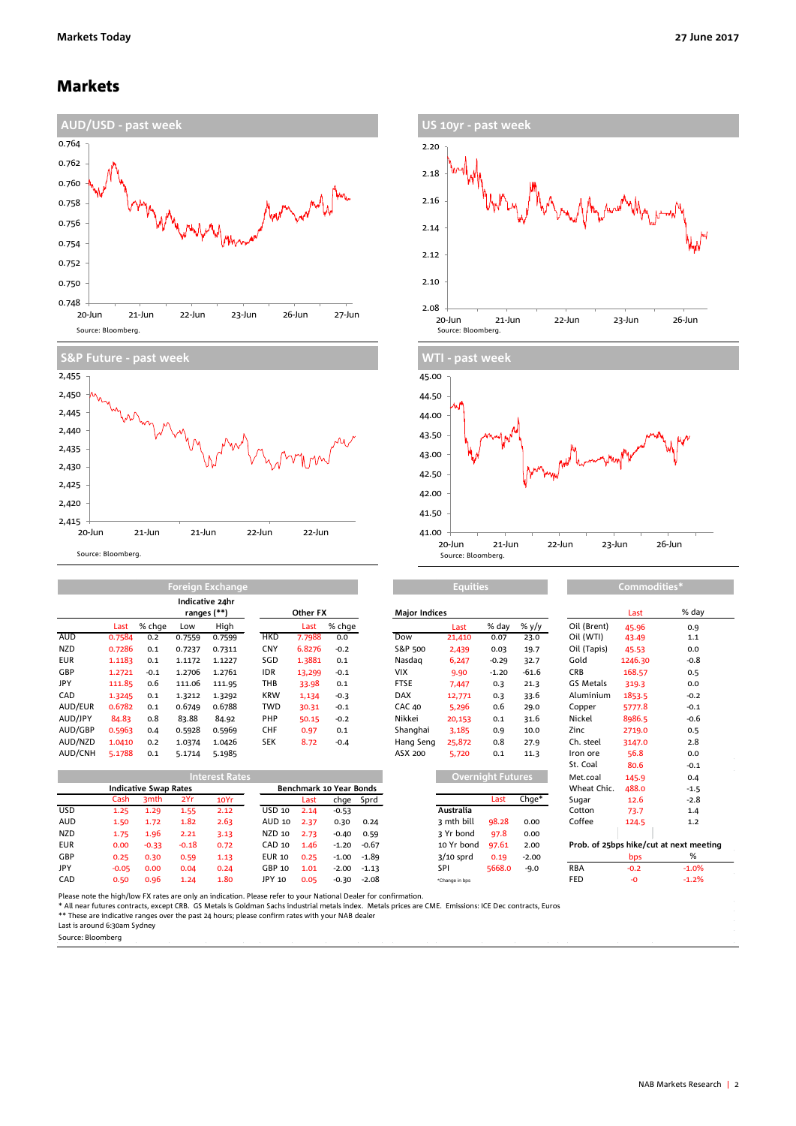### Markets









**Equities Commodities\***

|            |        | Indicative 24hr<br>ranges (**) |        |        |            | Other FX |        | <b>Major Indices</b> |        |         |         |             | Last    | % da   |
|------------|--------|--------------------------------|--------|--------|------------|----------|--------|----------------------|--------|---------|---------|-------------|---------|--------|
|            | Last   | % chae                         | Low    | High   |            | Last     | % chge |                      | Last   | % dav   | % y/y   | Oil (Brent) | 45.96   | 0.9    |
| <b>AUD</b> | 0.7584 | 0.2                            | 0.7559 | 0.7599 | <b>HKD</b> | 7.7988   | 0.0    | Dow                  | 21,410 | 0.07    | 23.0    | Oil (WTI)   | 43.49   | 1.1    |
| <b>NZD</b> | 0.7286 | 0.1                            | 0.7237 | 0.7311 | <b>CNY</b> | 6.8276   | $-0.2$ | S&P 500              | 2,439  | 0.03    | 19.7    | Oil (Tapis) | 45.53   | 0.0    |
| <b>EUR</b> | 1.1183 | 0.1                            | 1.1172 | 1.1227 | SGD        | 1.3881   | 0.1    | Nasdag               | 6,247  | $-0.29$ | 32.7    | Gold        | 1246.30 | $-0.8$ |
| GBP        | 1.2721 | $-0.1$                         | 1.2706 | 1.2761 | <b>IDR</b> | 13,299   | $-0.1$ | <b>VIX</b>           | 9.90   | $-1.20$ | $-61.6$ | <b>CRB</b>  | 168.57  | 0.5    |
| JPY        | 111.85 | 0.6                            | 111.06 | 111.95 | THB        | 33.98    | 0.1    | <b>FTSE</b>          | 7,447  | 0.3     | 21.3    | GS Metals   | 319.3   | 0.0    |
| CAD        | 1.3245 | 0.1                            | 1.3212 | 1.3292 | <b>KRW</b> | 1,134    | $-0.3$ | <b>DAX</b>           | 12,771 | 0.3     | 33.6    | Aluminium   | 1853.5  | $-0.2$ |
| AUD/EUR    | 0.6782 | 0.1                            | 0.6749 | 0.6788 | <b>TWD</b> | 30.31    | $-0.1$ | <b>CAC 40</b>        | 5,296  | 0.6     | 29.0    | Copper      | 5777.8  | $-0.1$ |
| AUD/JPY    | 84.83  | 0.8                            | 83.88  | 84.92  | <b>PHP</b> | 50.15    | $-0.2$ | Nikkei               | 20,153 | 0.1     | 31.6    | Nickel      | 8986.5  | $-0.6$ |
| AUD/GBP    | 0.5963 | 0.4                            | 0.5928 | 0.5969 | <b>CHF</b> | 0.97     | 0.1    | Shanghai             | 3.185  | 0.9     | 10.0    | Zinc        | 2719.0  | 0.5    |
| AUD/NZD    | 1.0410 | 0.2                            | 1.0374 | 1.0426 | <b>SEK</b> | 8.72     | $-0.4$ | Hang Seng            | 25,872 | 0.8     | 27.9    | Ch. steel   | 3147.0  | 2.8    |
| AUD/CNH    | 5.1788 | 0.1                            | 5.1714 | 5.1985 |            |          |        | ASX 200              | 5,720  | 0.1     | 11.3    | Iron ore    | 56.8    | 0.0    |

**Foreign Exchang** 

| <b>Interest Rates</b> |                              |                  |         |      |                         |      |         |           |                | Overnight Futures |             |            | 145.9  | 0.4                                     |
|-----------------------|------------------------------|------------------|---------|------|-------------------------|------|---------|-----------|----------------|-------------------|-------------|------------|--------|-----------------------------------------|
|                       | <b>Indicative Swap Rates</b> |                  |         |      | Benchmark 10 Year Bonds |      |         |           |                |                   | Wheat Chic. | 488.0      | $-1.5$ |                                         |
|                       | Cash                         | 3 <sub>mth</sub> | 2Yr     | 10Yr |                         | Last |         | chge Sprd |                | Last              | $Chqe*$     | Sugar      | 12.6   | $-2.8$                                  |
| <b>USD</b>            | 1.25                         | 1.29             | 1.55    | 2.12 | USD 10                  | 2.14 | $-0.53$ |           | Australia      |                   |             | Cotton     | 73.7   | 1.4                                     |
| <b>AUD</b>            | 1.50                         | 1.72             | 1.82    | 2.63 | AUD 10                  | 2.37 | 0.30    | 0.24      | 3 mth bill     | 98.28             | 0.00        | Coffee     | 124.5  | 1.2                                     |
| <b>NZD</b>            | 1.75                         | 1.96             | 2.21    | 3.13 | NZD 10                  | 2.73 | $-0.40$ | 0.59      | 3 Yr bond      | 97.8              | 0.00        |            |        |                                         |
| <b>EUR</b>            | 0.00                         | $-0.33$          | $-0.18$ | 0.72 | CAD 10                  | 1.46 | $-1.20$ | $-0.67$   | 10 Yr bond     | 97.61             | 2.00        |            |        | Prob. of 25bps hike/cut at next meeting |
| <b>GBP</b>            | 0.25                         | 0.30             | 0.59    | 1.13 | <b>EUR 10</b>           | 0.25 | $-1.00$ | -1.89     | $3/10$ sprd    | 0.19              | $-2.00$     |            | bps    | %                                       |
| JPY                   | $-0.05$                      | 0.00             | 0.04    | 0.24 | GBP 10                  | 1.01 | $-2.00$ | $-1.13$   | SPI            | 5668.0            | $-9.0$      | <b>RBA</b> | $-0.2$ | $-1.0%$                                 |
| CAD                   | 0.50                         | 0.96             | 1.24    | 1.80 | JPY 10                  | 0.05 | $-0.30$ | $-2.08$   | *Change in bps |                   |             | FED        | -0     | $-1.2%$                                 |

| Other FX |                      |         | <b>Major Indices</b> |             |                          |         |                                     | Last    | % day   |
|----------|----------------------|---------|----------------------|-------------|--------------------------|---------|-------------------------------------|---------|---------|
| Last     | % chge               |         |                      | Last        | % day                    | % y/y   | Oil (Brent)                         | 45.96   | 0.9     |
| 7.7988   | 0.0                  |         | Dow                  | 21,410      | 0.07                     | 23.0    | Oil (WTI)                           | 43.49   | 1.1     |
| 6.8276   | $-0.2$               |         | S&P 500              | 2,439       | 0.03                     | 19.7    | Oil (Tapis)                         | 45.53   | 0.0     |
| 1.3881   | 0.1                  |         | Nasdag               | 6,247       | $-0.29$                  | 32.7    | Gold                                | 1246.30 | $-0.8$  |
| 13,299   | $-0.1$               |         | <b>VIX</b>           | 9.90        | $-1.20$                  | $-61.6$ | <b>CRB</b>                          | 168.57  | 0.5     |
| 33.98    | 0.1                  |         | <b>FTSE</b>          | 7,447       | 0.3                      | 21.3    | GS Metals                           | 319.3   | 0.0     |
| 1,134    | $-0.3$               |         | <b>DAX</b>           | 12,771      | 0.3                      | 33.6    | Aluminium                           | 1853.5  | $-0.2$  |
| 30.31    | $-0.1$               |         | <b>CAC 40</b>        | 5,296       | 0.6                      | 29.0    | Copper                              | 5777.8  | $-0.1$  |
| 50.15    | $-0.2$               |         | Nikkei               | 20,153      | 0.1                      | 31.6    | Nickel                              | 8986.5  | $-0.6$  |
| 0.97     | 0.1                  |         | Shanghai             | 3.185       | 0.9                      | 10.0    | Zinc                                | 2719.0  | 0.5     |
| 8.72     | $-0.4$               |         | Hang Seng            | 25,872      | 0.8                      | 27.9    | Ch. steel                           | 3147.0  | 2.8     |
|          |                      |         | ASX 200              | 5,720       | 0.1                      | 11.3    | Iron ore                            | 56.8    | 0.0     |
|          |                      |         |                      |             |                          |         | St. Coal                            | 80.6    | $-0.1$  |
|          |                      |         |                      |             | <b>Overnight Futures</b> |         | Met.coal                            | 145.9   | 0.4     |
|          | chmark 10 Year Bonds |         |                      |             |                          |         | Wheat Chic.                         | 488.0   | $-1.5$  |
| Last     | chge                 | Sprd    |                      |             | Last                     | $Chge*$ | Sugar                               | 12.6    | $-2.8$  |
| 2.14     | $-0.53$              |         |                      | Australia   |                          |         | Cotton                              | 73.7    | 1.4     |
| 2.37     | 0.30                 | 0.24    |                      | 3 mth bill  | 98.28                    | 0.00    | Coffee                              | 124.5   | 1.2     |
| 2.73     | $-0.40$              | 0.59    |                      | 3 Yr bond   | 97.8                     | 0.00    |                                     |         |         |
| 1.46     | $-1.20$              | $-0.67$ |                      | 10 Yr bond  | 97.61                    | 2.00    | Prob. of 25bps hike/cut at next mer |         |         |
| 0.25     | $-1.00$              | $-1.89$ |                      | $3/10$ sprd | 0.19                     | $-2.00$ |                                     | bps     | %       |
| 1.01     | $-2.00$              | $-1$ 12 |                      | SPI         | 56680                    | ہ ہ۔    | RRA                                 | $-0.2$  | $-1.0%$ |

| Oil (Tapis)                             | 45.53   | 0.0     |  |  |  |  |  |  |
|-----------------------------------------|---------|---------|--|--|--|--|--|--|
| Gold                                    | 1246.30 | -0.8    |  |  |  |  |  |  |
| <b>CRB</b>                              | 168.57  | 0.5     |  |  |  |  |  |  |
| GS Metals                               | 319.3   | 0.0     |  |  |  |  |  |  |
| Aluminium                               | 1853.5  | $-0.2$  |  |  |  |  |  |  |
| Copper                                  | 5777.8  | $-0.1$  |  |  |  |  |  |  |
| Nickel                                  | 8986.5  | $-0.6$  |  |  |  |  |  |  |
| Zinc                                    | 2719.0  | 0.5     |  |  |  |  |  |  |
| Ch. steel                               | 3147.0  | 2.8     |  |  |  |  |  |  |
| Iron ore                                | 56.8    | 0.0     |  |  |  |  |  |  |
| St. Coal                                | 80.6    | $-0.1$  |  |  |  |  |  |  |
| Met.coal                                | 145.9   | 0.4     |  |  |  |  |  |  |
| Wheat Chic.                             | 488.0   | $-1.5$  |  |  |  |  |  |  |
| Sugar                                   | 12.6    | $-2.8$  |  |  |  |  |  |  |
| Cotton                                  | 73.7    | 1.4     |  |  |  |  |  |  |
| Coffee                                  | 124.5   | 1.2     |  |  |  |  |  |  |
|                                         |         |         |  |  |  |  |  |  |
| Prob. of 25bps hike/cut at next meeting |         |         |  |  |  |  |  |  |
|                                         | bps     | %       |  |  |  |  |  |  |
| <b>RBA</b>                              | $-0.2$  | $-1.0%$ |  |  |  |  |  |  |

Please note the high/low FX rates are only an indication. Please refer to your National Dealer for confirmation.

\* All near futures contracts, except CRB. GS Metals is Goldman Sachs industrial metals index. Metals prices are CME. Emissions: ICE Dec contracts, Euros<br>\*\* These are indicative ranges over the past 24 hours; please confirm

Last is around 6:30am Sydney

Source: Bloomberg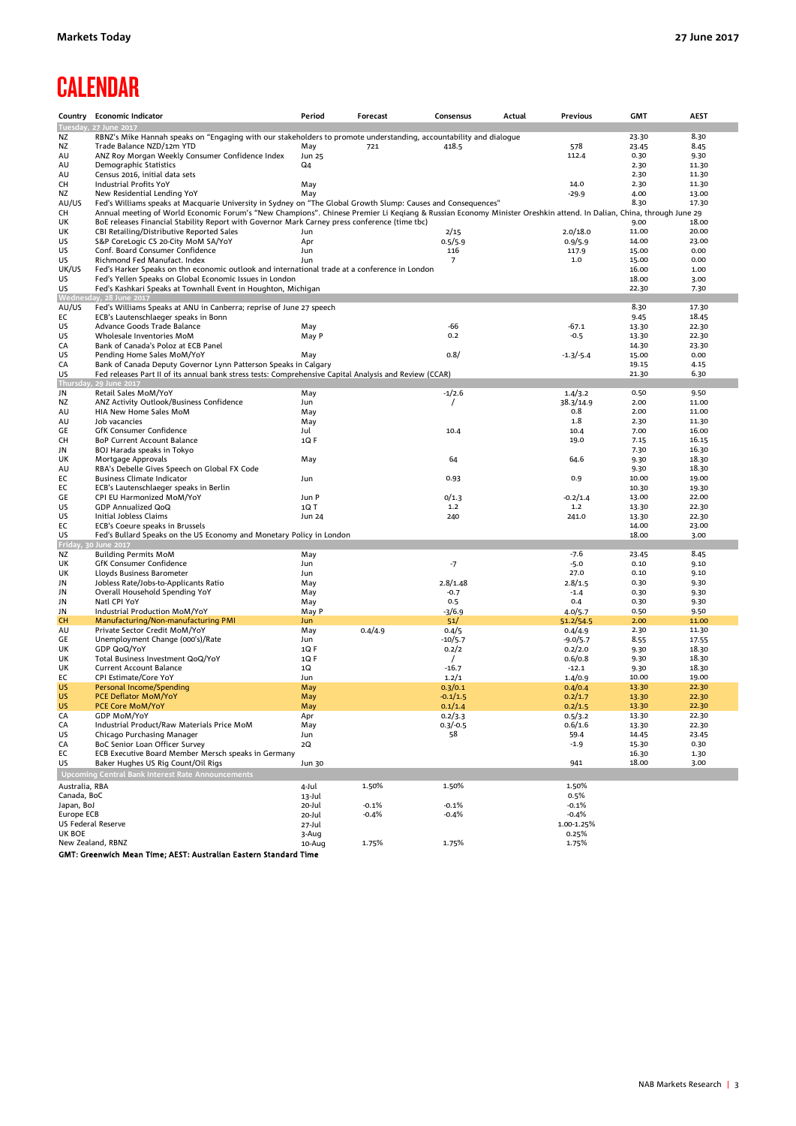# **CALENDAR**

|                                  | Country Economic Indicator                                                                                                                                         | Period          | Forecast | Consensus           | Actual | Previous              | <b>GMT</b>   | <b>AEST</b>    |
|----------------------------------|--------------------------------------------------------------------------------------------------------------------------------------------------------------------|-----------------|----------|---------------------|--------|-----------------------|--------------|----------------|
|                                  | Tuesday, 27 June 2017                                                                                                                                              |                 |          |                     |        |                       |              |                |
| ΝZ                               | RBNZ's Mike Hannah speaks on "Engaging with our stakeholders to promote understanding, accountability and dialogue                                                 |                 |          |                     |        |                       | 23.30        | 8.30           |
| ΝZ                               | Trade Balance NZD/12m YTD                                                                                                                                          | May             | 721      | 418.5               |        | 578                   | 23.45        | 8.45           |
| AU                               | ANZ Roy Morgan Weekly Consumer Confidence Index                                                                                                                    | Jun 25          |          |                     |        | 112.4                 | 0.30         | 9.30           |
| AU                               | Demographic Statistics                                                                                                                                             | Q4              |          |                     |        |                       | 2.30         | 11.30          |
| AU<br>CH                         | Census 2016, initial data sets                                                                                                                                     | May             |          |                     |        | 14.0                  | 2.30<br>2.30 | 11.30<br>11.30 |
| NZ                               | Industrial Profits YoY<br>New Residential Lending YoY                                                                                                              | May             |          |                     |        | -29.9                 | 4.00         | 13.00          |
| AU/US                            | Fed's Williams speaks at Macquarie University in Sydney on "The Global Growth Slump: Causes and Consequences"                                                      |                 |          |                     |        |                       | 8.30         | 17.30          |
| CH                               | Annual meeting of World Economic Forum's "New Champions". Chinese Premier Li Keqiang & Russian Economy Minister Oreshkin attend. In Dalian, China, through June 29 |                 |          |                     |        |                       |              |                |
| UK                               | BoE releases Financial Stability Report with Governor Mark Carney press conference (time tbc)                                                                      |                 |          |                     |        |                       | 9.00         | 18.00          |
| UK                               | CBI Retailing/Distributive Reported Sales                                                                                                                          | Jun             |          | 2/15                |        | 2.0/18.0              | 11.00        | 20.00          |
| US                               | S&P CoreLogic CS 20-City MoM SA/YoY                                                                                                                                | Apr             |          | 0.5/5.9             |        | 0.9/5.9               | 14.00        | 23.00          |
| US                               | Conf. Board Consumer Confidence                                                                                                                                    | Jun             |          | 116                 |        | 117.9                 | 15.00        | 0.00           |
| US                               | Richmond Fed Manufact. Index                                                                                                                                       | Jun             |          | 7                   |        | $1.0\,$               | 15.00        | 0.00           |
| UK/US                            | Fed's Harker Speaks on thn economic outlook and international trade at a conference in London                                                                      |                 |          |                     |        |                       | 16.00        | 1.00           |
| US                               | Fed's Yellen Speaks on Global Economic Issues in London                                                                                                            |                 |          |                     |        |                       | 18.00        | 3.00           |
| US<br>Wednes                     | Fed's Kashkari Speaks at Townhall Event in Houghton, Michigan<br>day, 28 June 2017                                                                                 |                 |          |                     |        |                       | 22.30        | 7.30           |
| AU/US                            | Fed's Williams Speaks at ANU in Canberra; reprise of June 27 speech                                                                                                |                 |          |                     |        |                       | 8.30         | 17.30          |
| EC                               | ECB's Lautenschlaeger speaks in Bonn                                                                                                                               |                 |          |                     |        |                       | 9.45         | 18.45          |
| US                               | Advance Goods Trade Balance                                                                                                                                        | May             |          | $-66$               |        | $-67.1$               | 13.30        | 22.30          |
| US                               | Wholesale Inventories MoM                                                                                                                                          | May P           |          | 0.2                 |        | $-0.5$                | 13.30        | 22.30          |
| CA                               | Bank of Canada's Poloz at ECB Panel                                                                                                                                |                 |          |                     |        |                       | 14.30        | 23.30          |
| US                               | Pending Home Sales MoM/YoY                                                                                                                                         | May             |          | 0.8/                |        | $-1.3/-5.4$           | 15.00        | 0.00           |
| CA                               | Bank of Canada Deputy Governor Lynn Patterson Speaks in Calgary                                                                                                    |                 |          |                     |        |                       | 19.15        | 4.15           |
| US                               | Fed releases Part II of its annual bank stress tests: Comprehensive Capital Analysis and Review (CCAR)                                                             |                 |          |                     |        |                       | 21.30        | 6.30           |
| Thursday                         | , 29 June 2017                                                                                                                                                     |                 |          |                     |        |                       |              |                |
| JN                               | Retail Sales MoM/YoY                                                                                                                                               | May             |          | $-1/2.6$            |        | 1.4/3.2               | 0.50         | 9.50           |
| NZ<br>AU                         | ANZ Activity Outlook/Business Confidence<br>HIA New Home Sales MoM                                                                                                 | Jun<br>May      |          | $\prime$            |        | 38.3/14.9<br>0.8      | 2.00<br>2.00 | 11.00          |
| AU                               | Job vacancies                                                                                                                                                      | May             |          |                     |        | 1.8                   | 2.30         | 11.00<br>11.30 |
| GE                               | GfK Consumer Confidence                                                                                                                                            | Jul             |          | 10.4                |        | 10.4                  | 7.00         | 16.00          |
| CH                               | BoP Current Account Balance                                                                                                                                        | $1Q$ F          |          |                     |        | 19.0                  | 7.15         | 16.15          |
| JN                               | BOJ Harada speaks in Tokyo                                                                                                                                         |                 |          |                     |        |                       | 7.30         | 16.30          |
| UK                               | Mortgage Approvals                                                                                                                                                 | May             |          | 64                  |        | 64.6                  | 9.30         | 18.30          |
| AU                               | RBA's Debelle Gives Speech on Global FX Code                                                                                                                       |                 |          |                     |        |                       | 9.30         | 18.30          |
| EC                               | <b>Business Climate Indicator</b>                                                                                                                                  | Jun             |          | 0.93                |        | 0.9                   | 10.00        | 19.00          |
| EC                               | ECB's Lautenschlaeger speaks in Berlin                                                                                                                             |                 |          |                     |        |                       | 10.30        | 19.30          |
| GE                               | CPI EU Harmonized MoM/YoY                                                                                                                                          | Jun P           |          | 0/1.3               |        | $-0.2/1.4$            | 13.00        | 22.00          |
| US                               | GDP Annualized QoQ                                                                                                                                                 | 1Q T            |          | 1.2                 |        | 1.2                   | 13.30        | 22.30          |
| US                               | Initial Jobless Claims                                                                                                                                             | Jun 24          |          | 240                 |        | 241.0                 | 13.30        | 22.30          |
| EC                               | ECB's Coeure speaks in Brussels                                                                                                                                    |                 |          |                     |        |                       | 14.00        | 23.00          |
| US<br>Friday,                    | Fed's Bullard Speaks on the US Economy and Monetary Policy in London<br>0 June 2017                                                                                |                 |          |                     |        |                       | 18.00        | 3.00           |
| ΝZ                               | <b>Building Permits MoM</b>                                                                                                                                        | May             |          |                     |        | $-7.6$                | 23.45        | 8.45           |
| UK                               | GfK Consumer Confidence                                                                                                                                            | Jun             |          | $-7$                |        | $-5.0$                | 0.10         | 9.10           |
| UK                               | Lloyds Business Barometer                                                                                                                                          | Jun             |          |                     |        | 27.0                  | 0.10         | 9.10           |
| JN                               | Jobless Rate/Jobs-to-Applicants Ratio                                                                                                                              | May             |          | 2.8/1.48            |        | 2.8/1.5               | 0.30         | 9.30           |
| JN                               | Overall Household Spending YoY                                                                                                                                     | May             |          | $-0.7$              |        | $-1.4$                | 0.30         | 9.30           |
| JN                               | Natl CPI YoY                                                                                                                                                       | May             |          | 0.5                 |        | 0.4                   | 0.30         | 9.30           |
| JN                               | Industrial Production MoM/YoY                                                                                                                                      | May P           |          | $-3/6.9$            |        | 4.0/5.7               | 0.50         | 9.50           |
| <b>CH</b>                        | Manufacturing/Non-manufacturing PMI                                                                                                                                | <b>Jun</b>      |          | 51/                 |        | 51.2/54.5             | 2.00         | 11.00          |
| AU                               | Private Sector Credit MoM/YoY                                                                                                                                      | May             | 0.4/4.9  | 0.4/5               |        | 0.4/4.9               | 2.30         | 11.30          |
| GE                               | Unemployment Change (000's)/Rate                                                                                                                                   | Jun             |          | $-10/5.7$           |        | $-9.0/5.7$            | 8.55         | 17.55          |
| UK                               | GDP QoQ/YoY<br>Total Business Investment QoQ/YoY                                                                                                                   | $1Q$ F<br>1QF   |          | 0.2/2               |        | 0.2/2.0<br>0.6/0.8    | 9.30<br>9.30 | 18.30<br>18.30 |
| UK<br>UK                         | Current Account Balance                                                                                                                                            | 1Q              |          | $\prime$<br>$-16.7$ |        | $-12.1$               | 9.30         | 18.30          |
| EC                               | CPI Estimate/Core YoY                                                                                                                                              | Jun             |          | 1.2/1               |        | 1.4/0.9               | 10.00        | 19.00          |
| <b>US</b>                        | Personal Income/Spending                                                                                                                                           | May             |          | 0.3/0.1             |        | 0.4/0.4               | 13.30        | 22.30          |
| <b>US</b>                        | <b>PCE Deflator MoM/YoY</b>                                                                                                                                        | May             |          | $-0.1/1.5$          |        | 0.2/1.7               | 13.30        | 22.30          |
| US                               | PCE Core MoM/YoY                                                                                                                                                   | May             |          | 0.1/1.4             |        | 0.2/1.5               | 13.30        | 22.30          |
| CA                               | <b>GDP MoM/YoY</b>                                                                                                                                                 | Apr             |          | 0.2/3.3             |        | 0.5/3.2               | 13.30        | 22.30          |
| CA                               | Industrial Product/Raw Materials Price MoM                                                                                                                         | May             |          | $0.3/-0.5$          |        | 0.6/1.6               | 13.30        | 22.30          |
| US                               | Chicago Purchasing Manager                                                                                                                                         | Jun             |          | 58                  |        | 59.4                  | 14.45        | 23.45          |
| CA                               | BoC Senior Loan Officer Survey                                                                                                                                     | 2Q              |          |                     |        | $-1.9$                | 15.30        | 0.30           |
| EC                               | ECB Executive Board Member Mersch speaks in Germany                                                                                                                |                 |          |                     |        |                       | 16.30        | 1.30           |
| US                               | Baker Hughes US Rig Count/Oil Rigs                                                                                                                                 | Jun 30          |          |                     |        | 941                   | 18.00        | 3.00           |
|                                  | Upcoming Central Bank Interest Rate Announcements                                                                                                                  |                 |          |                     |        |                       |              |                |
| Australia, RBA                   |                                                                                                                                                                    | 4-Jul           | 1.50%    | 1.50%               |        | 1.50%                 |              |                |
| Canada, BoC                      |                                                                                                                                                                    | 13-Jul          |          |                     |        | 0.5%                  |              |                |
| Japan, BoJ                       |                                                                                                                                                                    | 20-Jul          | $-0.1%$  | $-0.1%$             |        | $-0.1%$               |              |                |
| Europe ECB<br>US Federal Reserve |                                                                                                                                                                    | 20-Jul          | $-0.4%$  | $-0.4%$             |        | $-0.4%$<br>1.00-1.25% |              |                |
| UK BOE                           |                                                                                                                                                                    | 27-Jul<br>3-Aug |          |                     |        | 0.25%                 |              |                |
| New Zealand, RBNZ                |                                                                                                                                                                    | 10-Aug          | 1.75%    | 1.75%               |        | 1.75%                 |              |                |
|                                  | GMT: Greenwich Mean Time: AEST: Australian Eastern Standard Time                                                                                                   |                 |          |                     |        |                       |              |                |
|                                  |                                                                                                                                                                    |                 |          |                     |        |                       |              |                |